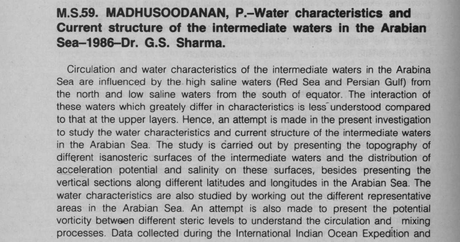## **M.S.59**. **MADHUSOODANAN, P.-Water characteristics and Current structure of the intermediate waters in the Arabian Sea-1986**-**Dr. G.S**. **Sharma.**

Circulation and water characteristics of the intermediate waters in the Arabina Sea are influenced by the high saline waters (Red Sea and Persian Gulf) from the north and low saline waters from the south of equator. The interaction of these waters which greately differ in characteristics is less understood compared to that at the upper layers. Hence, an attempt is made in the present investigation to study the water characteristics and current structure of the intermediate waters in the Arabian Sea. The study is carried out by presenting the topography of different isanosteric surfaces of the intermediate waters and the distribution of acceleration potential and salinity on these surfaces, besides presenting the vertical sections along different latitudes and longitudes in the Arabian Sea. The water characteristics are also studied by working out the different representative areas in the Arabian Sea. An attempt is also made to present the potential vorticity between different steric levels to understand the circulation and mixing processes. Data collected during the International Indian Ocean Expedition and